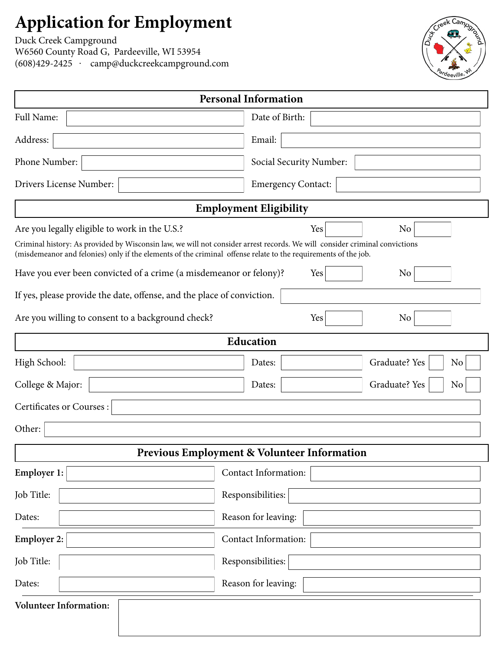## **Application for Employment**

[Duck Creek Campground](http://www.duckcreekcampground.com) W6560 County Road G, Pardeeville, WI 53954 (608)429-2425 . camp@duckcreekcampground.com

| <b>Personal Information</b>                                                                                                                                                                                                                  |                                                        |                     |  |  |  |  |  |  |
|----------------------------------------------------------------------------------------------------------------------------------------------------------------------------------------------------------------------------------------------|--------------------------------------------------------|---------------------|--|--|--|--|--|--|
| Full Name:                                                                                                                                                                                                                                   | Date of Birth:                                         |                     |  |  |  |  |  |  |
| Address:                                                                                                                                                                                                                                     | Email:                                                 |                     |  |  |  |  |  |  |
| Phone Number:                                                                                                                                                                                                                                | Social Security Number:                                |                     |  |  |  |  |  |  |
| Drivers License Number:                                                                                                                                                                                                                      | <b>Emergency Contact:</b>                              |                     |  |  |  |  |  |  |
| <b>Employment Eligibility</b>                                                                                                                                                                                                                |                                                        |                     |  |  |  |  |  |  |
| Are you legally eligible to work in the U.S.?                                                                                                                                                                                                | Yes                                                    | No                  |  |  |  |  |  |  |
| Criminal history: As provided by Wisconsin law, we will not consider arrest records. We will consider criminal convictions<br>(misdemeanor and felonies) only if the elements of the criminal offense relate to the requirements of the job. |                                                        |                     |  |  |  |  |  |  |
| Have you ever been convicted of a crime (a misdemeanor or felony)?                                                                                                                                                                           | Yes                                                    | N <sub>o</sub>      |  |  |  |  |  |  |
| If yes, please provide the date, offense, and the place of conviction.                                                                                                                                                                       |                                                        |                     |  |  |  |  |  |  |
| Are you willing to consent to a background check?                                                                                                                                                                                            | Yes                                                    | N <sub>o</sub>      |  |  |  |  |  |  |
| Education                                                                                                                                                                                                                                    |                                                        |                     |  |  |  |  |  |  |
| High School:                                                                                                                                                                                                                                 | Dates:                                                 | Graduate? Yes<br>No |  |  |  |  |  |  |
| College & Major:                                                                                                                                                                                                                             | Dates:                                                 | Graduate? Yes<br>No |  |  |  |  |  |  |
| Certificates or Courses:                                                                                                                                                                                                                     |                                                        |                     |  |  |  |  |  |  |
| Other:                                                                                                                                                                                                                                       |                                                        |                     |  |  |  |  |  |  |
|                                                                                                                                                                                                                                              | <b>Previous Employment &amp; Volunteer Information</b> |                     |  |  |  |  |  |  |
| Employer 1:                                                                                                                                                                                                                                  | Contact Information:                                   |                     |  |  |  |  |  |  |
| Job Title:                                                                                                                                                                                                                                   | Responsibilities:                                      |                     |  |  |  |  |  |  |
| Dates:                                                                                                                                                                                                                                       | Reason for leaving:                                    |                     |  |  |  |  |  |  |
| <b>Employer 2:</b>                                                                                                                                                                                                                           | <b>Contact Information:</b>                            |                     |  |  |  |  |  |  |
| Job Title:                                                                                                                                                                                                                                   | Responsibilities:                                      |                     |  |  |  |  |  |  |
| Dates:                                                                                                                                                                                                                                       | Reason for leaving:                                    |                     |  |  |  |  |  |  |
| <b>Volunteer Information:</b>                                                                                                                                                                                                                |                                                        |                     |  |  |  |  |  |  |
|                                                                                                                                                                                                                                              |                                                        |                     |  |  |  |  |  |  |

Keek Camp<sub>o</sub>

'd<sub>eevill</sub>e